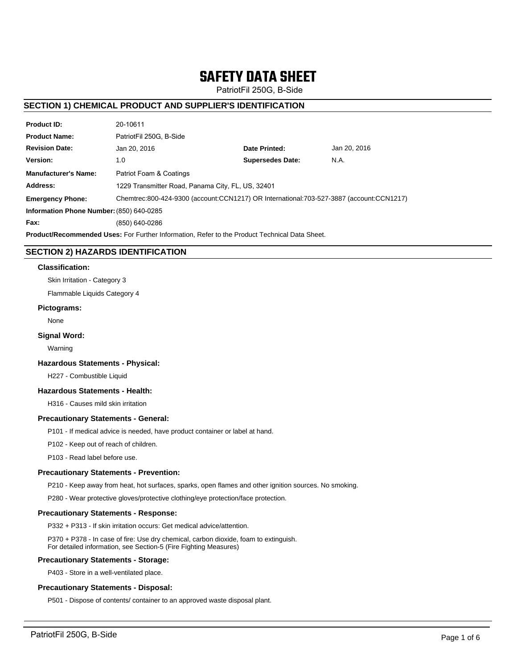# **SAFETY DATA SHEET**

PatriotFil 250G, B-Side

# **SECTION 1) CHEMICAL PRODUCT AND SUPPLIER'S IDENTIFICATION**

| <b>Product ID:</b>                                                                                   | 20-10611                                                                                |                         |              |  |  |
|------------------------------------------------------------------------------------------------------|-----------------------------------------------------------------------------------------|-------------------------|--------------|--|--|
| <b>Product Name:</b>                                                                                 | PatriotFil 250G. B-Side                                                                 |                         |              |  |  |
| <b>Revision Date:</b>                                                                                | Jan 20, 2016                                                                            | Date Printed:           | Jan 20, 2016 |  |  |
| Version:                                                                                             | 1.0                                                                                     | <b>Supersedes Date:</b> | N.A.         |  |  |
| <b>Manufacturer's Name:</b>                                                                          | Patriot Foam & Coatings                                                                 |                         |              |  |  |
| Address:                                                                                             | 1229 Transmitter Road, Panama City, FL, US, 32401                                       |                         |              |  |  |
| <b>Emergency Phone:</b>                                                                              | Chemtrec:800-424-9300 (account:CCN1217) OR International:703-527-3887 (account:CCN1217) |                         |              |  |  |
| Information Phone Number: (850) 640-0285                                                             |                                                                                         |                         |              |  |  |
| Fax:                                                                                                 | (850) 640-0286                                                                          |                         |              |  |  |
| <b>Product/Recommended Uses:</b> For Further Information, Refer to the Product Technical Data Sheet. |                                                                                         |                         |              |  |  |

# **SECTION 2) HAZARDS IDENTIFICATION**

#### **Classification:**

Skin Irritation - Category 3

Flammable Liquids Category 4

### **Pictograms:**

None

## **Signal Word:**

Warning

#### **Hazardous Statements - Physical:**

H227 - Combustible Liquid

# **Hazardous Statements - Health:**

H316 - Causes mild skin irritation

#### **Precautionary Statements - General:**

P101 - If medical advice is needed, have product container or label at hand.

P102 - Keep out of reach of children.

P103 - Read label before use.

#### **Precautionary Statements - Prevention:**

P210 - Keep away from heat, hot surfaces, sparks, open flames and other ignition sources. No smoking.

P280 - Wear protective gloves/protective clothing/eye protection/face protection.

## **Precautionary Statements - Response:**

P332 + P313 - If skin irritation occurs: Get medical advice/attention.

P370 + P378 - In case of fire: Use dry chemical, carbon dioxide, foam to extinguish. For detailed information, see Section-5 (Fire Fighting Measures)

## **Precautionary Statements - Storage:**

P403 - Store in a well-ventilated place.

## **Precautionary Statements - Disposal:**

P501 - Dispose of contents/ container to an approved waste disposal plant.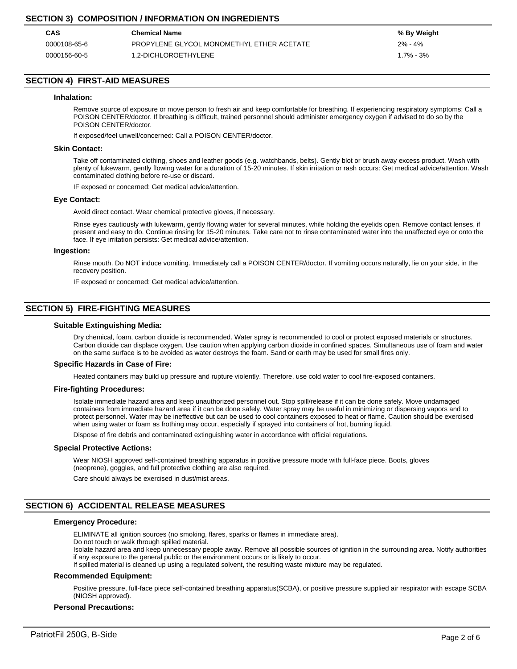# **SECTION 3) COMPOSITION / INFORMATION ON INGREDIENTS**

| CAS          | <b>Chemical Name</b>                      | % By Weight   |
|--------------|-------------------------------------------|---------------|
| 0000108-65-6 | PROPYLENE GLYCOL MONOMETHYL ETHER ACETATE | $2\% - 4\%$   |
| 0000156-60-5 | 1.2-DICHLOROETHYLENE                      | $1.7\% - 3\%$ |

# **SECTION 4) FIRST-AID MEASURES**

#### **Inhalation:**

Remove source of exposure or move person to fresh air and keep comfortable for breathing. If experiencing respiratory symptoms: Call a POISON CENTER/doctor. If breathing is difficult, trained personnel should administer emergency oxygen if advised to do so by the POISON CENTER/doctor.

If exposed/feel unwell/concerned: Call a POISON CENTER/doctor.

#### **Skin Contact:**

Take off contaminated clothing, shoes and leather goods (e.g. watchbands, belts). Gently blot or brush away excess product. Wash with plenty of lukewarm, gently flowing water for a duration of 15-20 minutes. If skin irritation or rash occurs: Get medical advice/attention. Wash contaminated clothing before re-use or discard.

IF exposed or concerned: Get medical advice/attention.

#### **Eye Contact:**

Avoid direct contact. Wear chemical protective gloves, if necessary.

Rinse eyes cautiously with lukewarm, gently flowing water for several minutes, while holding the eyelids open. Remove contact lenses, if present and easy to do. Continue rinsing for 15-20 minutes. Take care not to rinse contaminated water into the unaffected eye or onto the face. If eye irritation persists: Get medical advice/attention.

#### **Ingestion:**

Rinse mouth. Do NOT induce vomiting. Immediately call a POISON CENTER/doctor. If vomiting occurs naturally, lie on your side, in the recovery position.

IF exposed or concerned: Get medical advice/attention.

## **SECTION 5) FIRE-FIGHTING MEASURES**

#### **Suitable Extinguishing Media:**

Dry chemical, foam, carbon dioxide is recommended. Water spray is recommended to cool or protect exposed materials or structures. Carbon dioxide can displace oxygen. Use caution when applying carbon dioxide in confined spaces. Simultaneous use of foam and water on the same surface is to be avoided as water destroys the foam. Sand or earth may be used for small fires only.

#### **Specific Hazards in Case of Fire:**

Heated containers may build up pressure and rupture violently. Therefore, use cold water to cool fire-exposed containers.

#### **Fire-fighting Procedures:**

Isolate immediate hazard area and keep unauthorized personnel out. Stop spill/release if it can be done safely. Move undamaged containers from immediate hazard area if it can be done safely. Water spray may be useful in minimizing or dispersing vapors and to protect personnel. Water may be ineffective but can be used to cool containers exposed to heat or flame. Caution should be exercised when using water or foam as frothing may occur, especially if sprayed into containers of hot, burning liquid.

Dispose of fire debris and contaminated extinguishing water in accordance with official regulations.

#### **Special Protective Actions:**

Wear NIOSH approved self-contained breathing apparatus in positive pressure mode with full-face piece. Boots, gloves (neoprene), goggles, and full protective clothing are also required.

Care should always be exercised in dust/mist areas.

# **SECTION 6) ACCIDENTAL RELEASE MEASURES**

## **Emergency Procedure:**

ELIMINATE all ignition sources (no smoking, flares, sparks or flames in immediate area).

Do not touch or walk through spilled material.

Isolate hazard area and keep unnecessary people away. Remove all possible sources of ignition in the surrounding area. Notify authorities if any exposure to the general public or the environment occurs or is likely to occur.

If spilled material is cleaned up using a regulated solvent, the resulting waste mixture may be regulated.

## **Recommended Equipment:**

Positive pressure, full-face piece self-contained breathing apparatus(SCBA), or positive pressure supplied air respirator with escape SCBA (NIOSH approved).

## **Personal Precautions:**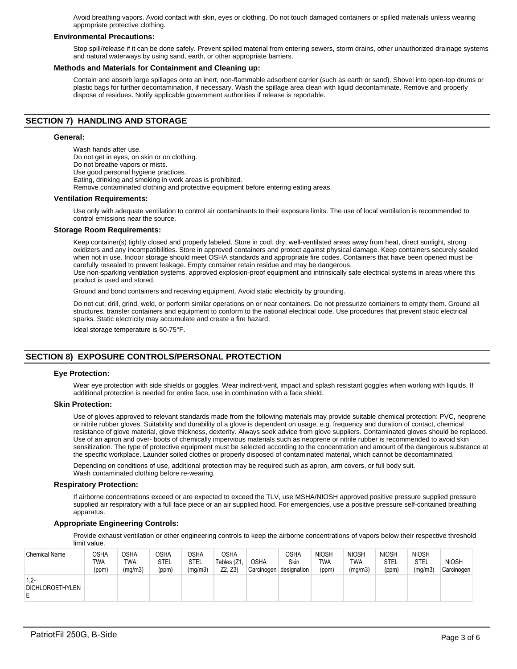Avoid breathing vapors. Avoid contact with skin, eyes or clothing. Do not touch damaged containers or spilled materials unless wearing appropriate protective clothing.

#### **Environmental Precautions:**

Stop spill/release if it can be done safely. Prevent spilled material from entering sewers, storm drains, other unauthorized drainage systems and natural waterways by using sand, earth, or other appropriate barriers.

#### **Methods and Materials for Containment and Cleaning up:**

Contain and absorb large spillages onto an inert, non-flammable adsorbent carrier (such as earth or sand). Shovel into open-top drums or plastic bags for further decontamination, if necessary. Wash the spillage area clean with liquid decontaminate. Remove and properly dispose of residues. Notify applicable government authorities if release is reportable.

## **SECTION 7) HANDLING AND STORAGE**

#### **General:**

Wash hands after use. Do not get in eyes, on skin or on clothing. Do not breathe vapors or mists. Use good personal hygiene practices. Eating, drinking and smoking in work areas is prohibited. Remove contaminated clothing and protective equipment before entering eating areas.

#### **Ventilation Requirements:**

Use only with adequate ventilation to control air contaminants to their exposure limits. The use of local ventilation is recommended to control emissions near the source.

#### **Storage Room Requirements:**

Keep container(s) tightly closed and properly labeled. Store in cool, dry, well-ventilated areas away from heat, direct sunlight, strong oxidizers and any incompatibilities. Store in approved containers and protect against physical damage. Keep containers securely sealed when not in use. Indoor storage should meet OSHA standards and appropriate fire codes. Containers that have been opened must be carefully resealed to prevent leakage. Empty container retain residue and may be dangerous.

Use non-sparking ventilation systems, approved explosion-proof equipment and intrinsically safe electrical systems in areas where this product is used and stored.

Ground and bond containers and receiving equipment. Avoid static electricity by grounding.

Do not cut, drill, grind, weld, or perform similar operations on or near containers. Do not pressurize containers to empty them. Ground all structures, transfer containers and equipment to conform to the national electrical code. Use procedures that prevent static electrical sparks. Static electricity may accumulate and create a fire hazard.

Ideal storage temperature is 50-75°F.

# **SECTION 8) EXPOSURE CONTROLS/PERSONAL PROTECTION**

#### **Eye Protection:**

Wear eye protection with side shields or goggles. Wear indirect-vent, impact and splash resistant goggles when working with liquids. If additional protection is needed for entire face, use in combination with a face shield.

#### **Skin Protection:**

Use of gloves approved to relevant standards made from the following materials may provide suitable chemical protection: PVC, neoprene or nitrile rubber gloves. Suitability and durability of a glove is dependent on usage, e.g. frequency and duration of contact, chemical resistance of glove material, glove thickness, dexterity. Always seek advice from glove suppliers. Contaminated gloves should be replaced. Use of an apron and over- boots of chemically impervious materials such as neoprene or nitrile rubber is recommended to avoid skin sensitization. The type of protective equipment must be selected according to the concentration and amount of the dangerous substance at the specific workplace. Launder soiled clothes or properly disposed of contaminated material, which cannot be decontaminated.

Depending on conditions of use, additional protection may be required such as apron, arm covers, or full body suit. Wash contaminated clothing before re-wearing.

#### **Respiratory Protection:**

If airborne concentrations exceed or are expected to exceed the TLV, use MSHA/NIOSH approved positive pressure supplied pressure supplied air respiratory with a full face piece or an air supplied hood. For emergencies, use a positive pressure self-contained breathing apparatus.

#### **Appropriate Engineering Controls:**

Provide exhaust ventilation or other engineering controls to keep the airborne concentrations of vapors below their respective threshold limit value.

| <b>Chemical Name</b>                   | OSHA<br><b>TWA</b><br>(ppm) | <b>OSHA</b><br>TWA<br>(mg/m3) | <b>OSHA</b><br>STEL<br>(ppm) | OSHA<br>STEL<br>(mg/m3) | <b>OSHA</b><br>Tables (Z1,<br>Z2, Z3 | <b>OSHA</b><br>Carcinogen | <b>OSHA</b><br>Skin<br>designation | <b>NIOSH</b><br><b>TWA</b><br>(ppm) | <b>NIOSH</b><br>TWA<br>(mg/m3) | <b>NIOSH</b><br>STEL<br>(ppm) | <b>NIOSH</b><br>STEL<br>(mg/m3) | <b>NIOSH</b><br>Carcinogen |
|----------------------------------------|-----------------------------|-------------------------------|------------------------------|-------------------------|--------------------------------------|---------------------------|------------------------------------|-------------------------------------|--------------------------------|-------------------------------|---------------------------------|----------------------------|
| $1.2 -$<br><b>DICHLOROETHYLEN</b><br>E |                             |                               |                              |                         |                                      |                           |                                    |                                     |                                |                               |                                 |                            |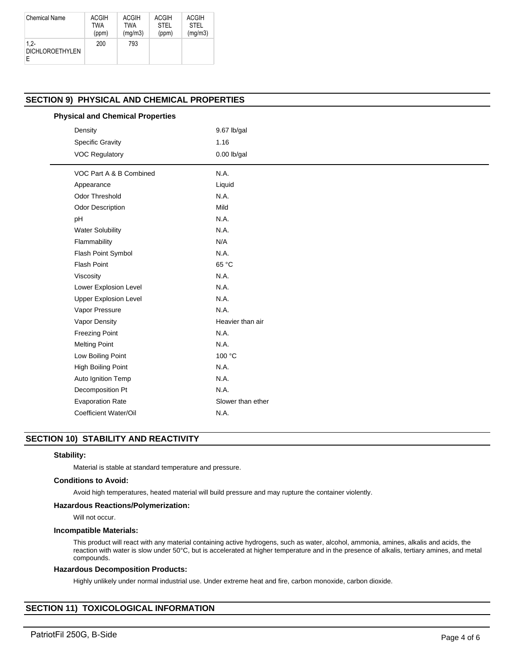| <b>Chemical Name</b>              | <b>ACGIH</b> | ACGIH      | <b>ACGIH</b> | ACGIH       |
|-----------------------------------|--------------|------------|--------------|-------------|
|                                   | TWA          | <b>TWA</b> | <b>STEL</b>  | <b>STEL</b> |
|                                   | (ppm)        | (mq/m3)    | (ppm)        | (mg/m3)     |
| $1.2 -$<br><b>DICHLOROETHYLEN</b> | 200          | 793        |              |             |

# **SECTION 9) PHYSICAL AND CHEMICAL PROPERTIES**

| <b>Physical and Chemical Properties</b> |               |  |
|-----------------------------------------|---------------|--|
| Density                                 | $9.67$ lb/gal |  |
| <b>Specific Gravity</b>                 | 1.16          |  |
| <b>VOC Regulatory</b>                   | $0.00$ lb/gal |  |
| VOC Part A & B Combined                 | N.A.          |  |
| Appearance                              | Liquid        |  |
| <b>Odor Threshold</b>                   | N.A.          |  |
| <b>Odor Description</b>                 | Mild          |  |
|                                         |               |  |

| Odor Description             | MIIQ              |
|------------------------------|-------------------|
| рH                           | N.A.              |
| <b>Water Solubility</b>      | N.A.              |
| Flammability                 | N/A               |
| <b>Flash Point Symbol</b>    | N.A.              |
| <b>Flash Point</b>           | 65 °C             |
| Viscosity                    | N.A.              |
| Lower Explosion Level        | N.A.              |
| <b>Upper Explosion Level</b> | N.A.              |
| Vapor Pressure               | N.A.              |
| Vapor Density                | Heavier than air  |
| <b>Freezing Point</b>        | N.A.              |
| <b>Melting Point</b>         | N.A.              |
| Low Boiling Point            | 100 °C            |
| High Boiling Point           | N.A.              |
| Auto Ignition Temp           | N.A.              |
| Decomposition Pt             | N.A.              |
| <b>Evaporation Rate</b>      | Slower than ether |
| Coefficient Water/Oil        | N.A.              |

# **SECTION 10) STABILITY AND REACTIVITY**

## **Stability:**

Material is stable at standard temperature and pressure.

#### **Conditions to Avoid:**

Avoid high temperatures, heated material will build pressure and may rupture the container violently.

#### **Hazardous Reactions/Polymerization:**

Will not occur.

#### **Incompatible Materials:**

This product will react with any material containing active hydrogens, such as water, alcohol, ammonia, amines, alkalis and acids, the reaction with water is slow under 50°C, but is accelerated at higher temperature and in the presence of alkalis, tertiary amines, and metal compounds.

#### **Hazardous Decomposition Products:**

Highly unlikely under normal industrial use. Under extreme heat and fire, carbon monoxide, carbon dioxide.

# **SECTION 11) TOXICOLOGICAL INFORMATION**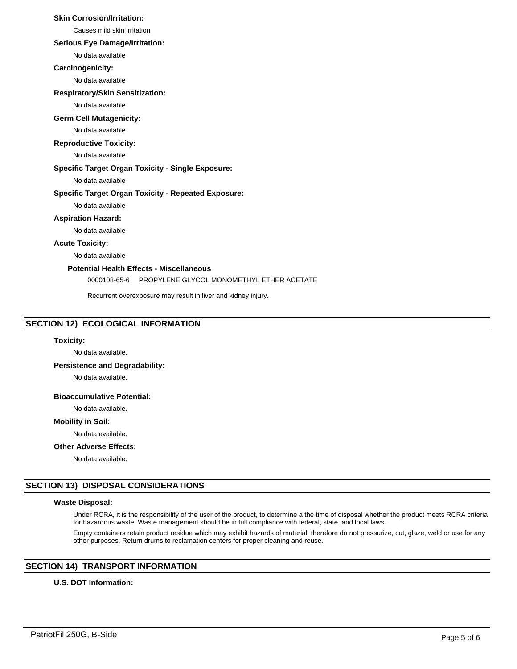## **Skin Corrosion/Irritation:**

Causes mild skin irritation

## **Serious Eye Damage/Irritation:**

No data available

#### **Carcinogenicity:**

No data available

#### **Respiratory/Skin Sensitization:**

No data available

#### **Germ Cell Mutagenicity:**

No data available

## **Reproductive Toxicity:**

No data available

## **Specific Target Organ Toxicity - Single Exposure:**

No data available

## **Specific Target Organ Toxicity - Repeated Exposure:**

No data available

## **Aspiration Hazard:**

No data available

## **Acute Toxicity:**

No data available

# **Potential Health Effects - Miscellaneous**

0000108-65-6 PROPYLENE GLYCOL MONOMETHYL ETHER ACETATE

Recurrent overexposure may result in liver and kidney injury.

## **SECTION 12) ECOLOGICAL INFORMATION**

#### **Toxicity:**

No data available.

## **Persistence and Degradability:**

No data available.

## **Bioaccumulative Potential:**

No data available.

#### **Mobility in Soil:**

No data available.

## **Other Adverse Effects:**

No data available.

### **SECTION 13) DISPOSAL CONSIDERATIONS**

## **Waste Disposal:**

Under RCRA, it is the responsibility of the user of the product, to determine a the time of disposal whether the product meets RCRA criteria for hazardous waste. Waste management should be in full compliance with federal, state, and local laws.

Empty containers retain product residue which may exhibit hazards of material, therefore do not pressurize, cut, glaze, weld or use for any other purposes. Return drums to reclamation centers for proper cleaning and reuse.

# **SECTION 14) TRANSPORT INFORMATION**

## **U.S. DOT Information:**